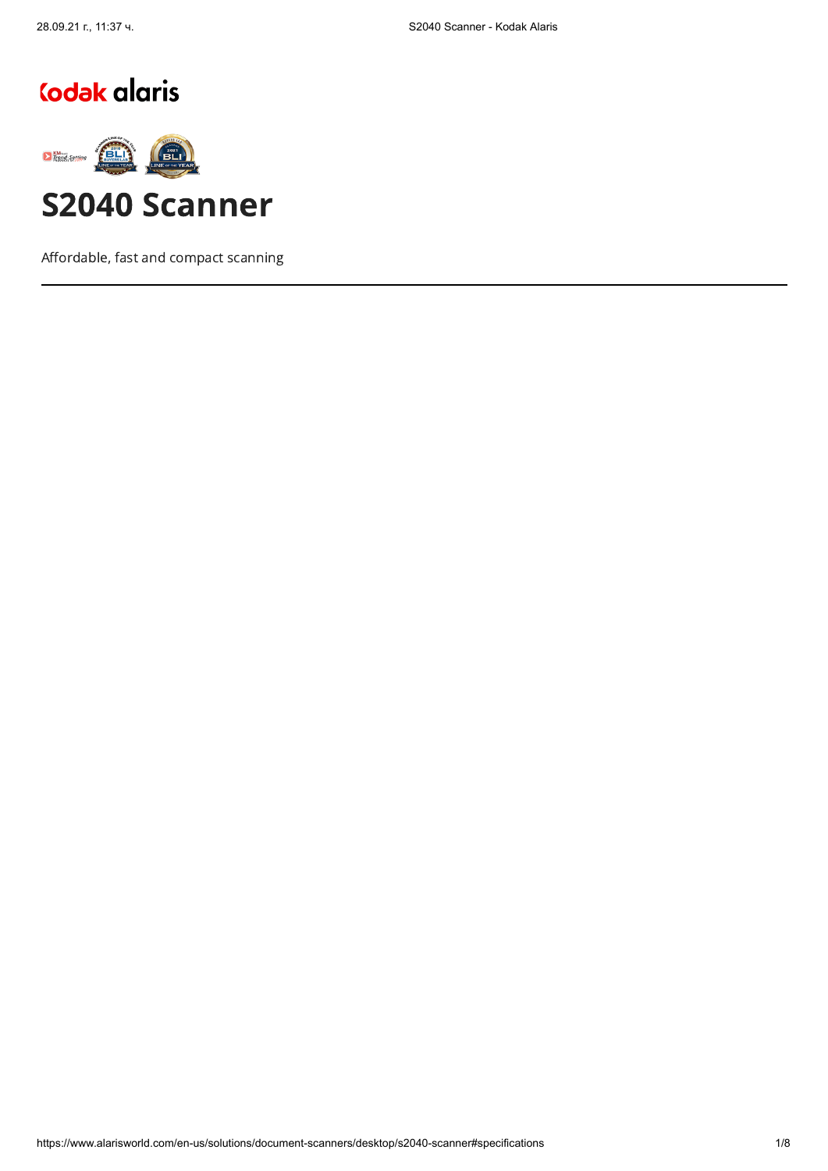# Codak alaris



Affordable, fast and compact scanning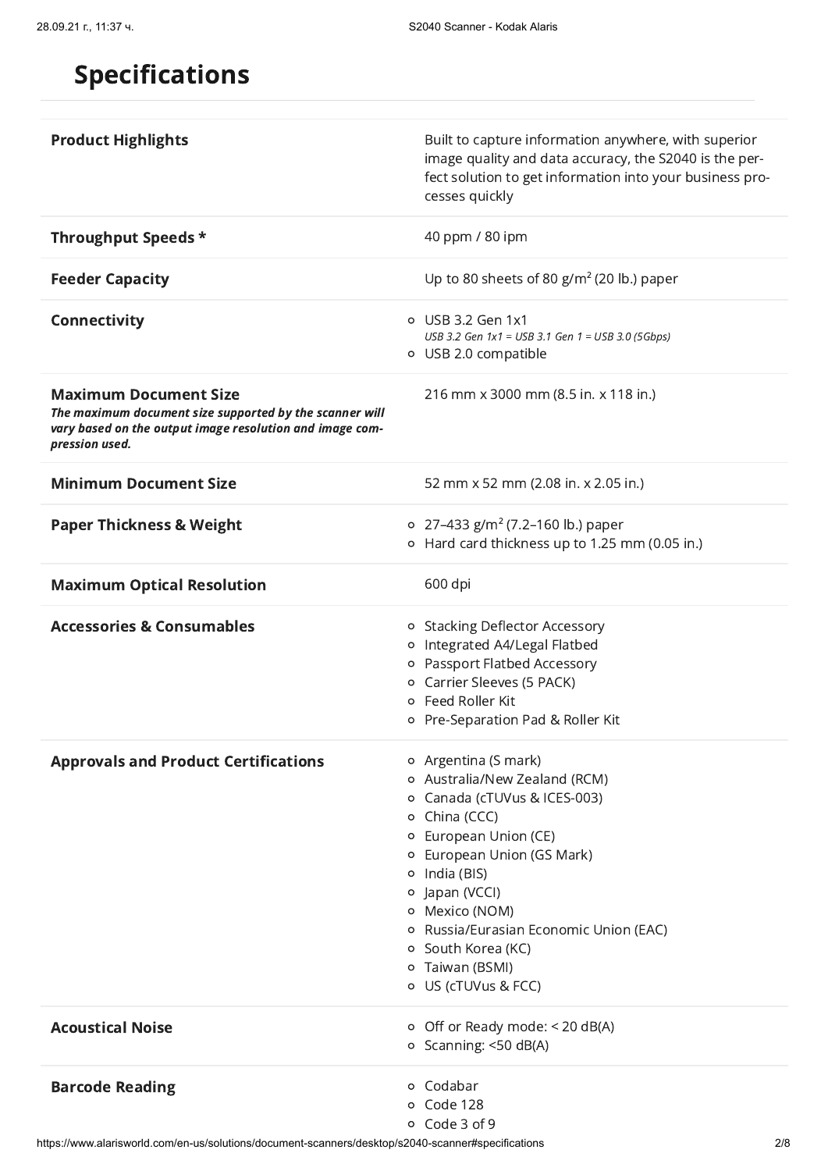## Specifications

| <b>Product Highlights</b>                                                                                                                                             | Built to capture information anywhere, with superior<br>image quality and data accuracy, the S2040 is the per-<br>fect solution to get information into your business pro-<br>cesses quickly                                                                                                                                       |
|-----------------------------------------------------------------------------------------------------------------------------------------------------------------------|------------------------------------------------------------------------------------------------------------------------------------------------------------------------------------------------------------------------------------------------------------------------------------------------------------------------------------|
| Throughput Speeds *                                                                                                                                                   | 40 ppm / 80 ipm                                                                                                                                                                                                                                                                                                                    |
| <b>Feeder Capacity</b>                                                                                                                                                | Up to 80 sheets of 80 $g/m^2$ (20 lb.) paper                                                                                                                                                                                                                                                                                       |
| <b>Connectivity</b>                                                                                                                                                   | o USB 3.2 Gen 1x1<br>USB 3.2 Gen 1x1 = USB 3.1 Gen 1 = USB 3.0 (5Gbps)<br>o USB 2.0 compatible                                                                                                                                                                                                                                     |
| <b>Maximum Document Size</b><br>The maximum document size supported by the scanner will<br>vary based on the output image resolution and image com-<br>pression used. | 216 mm x 3000 mm (8.5 in. x 118 in.)                                                                                                                                                                                                                                                                                               |
| <b>Minimum Document Size</b>                                                                                                                                          | 52 mm x 52 mm (2.08 in. x 2.05 in.)                                                                                                                                                                                                                                                                                                |
| <b>Paper Thickness &amp; Weight</b>                                                                                                                                   | o 27-433 g/m <sup>2</sup> (7.2-160 lb.) paper<br>o Hard card thickness up to 1.25 mm (0.05 in.)                                                                                                                                                                                                                                    |
| <b>Maximum Optical Resolution</b>                                                                                                                                     | 600 dpi                                                                                                                                                                                                                                                                                                                            |
| <b>Accessories &amp; Consumables</b>                                                                                                                                  | o Stacking Deflector Accessory<br>o Integrated A4/Legal Flatbed<br>o Passport Flatbed Accessory<br>o Carrier Sleeves (5 PACK)<br>o Feed Roller Kit<br>o Pre-Separation Pad & Roller Kit                                                                                                                                            |
| <b>Approvals and Product Certifications</b>                                                                                                                           | o Argentina (S mark)<br>o Australia/New Zealand (RCM)<br>o Canada (cTUVus & ICES-003)<br>o China (CCC)<br>o European Union (CE)<br>o European Union (GS Mark)<br>$\circ$ India (BIS)<br>o Japan (VCCI)<br>o Mexico (NOM)<br>o Russia/Eurasian Economic Union (EAC)<br>o South Korea (KC)<br>o Taiwan (BSMI)<br>o US (cTUVus & FCC) |
| <b>Acoustical Noise</b>                                                                                                                                               | $\circ$ Off or Ready mode: < 20 dB(A)<br>o Scanning: <50 dB(A)                                                                                                                                                                                                                                                                     |
| <b>Barcode Reading</b>                                                                                                                                                | o Codabar<br>o Code 128<br>o Code 3 of 9                                                                                                                                                                                                                                                                                           |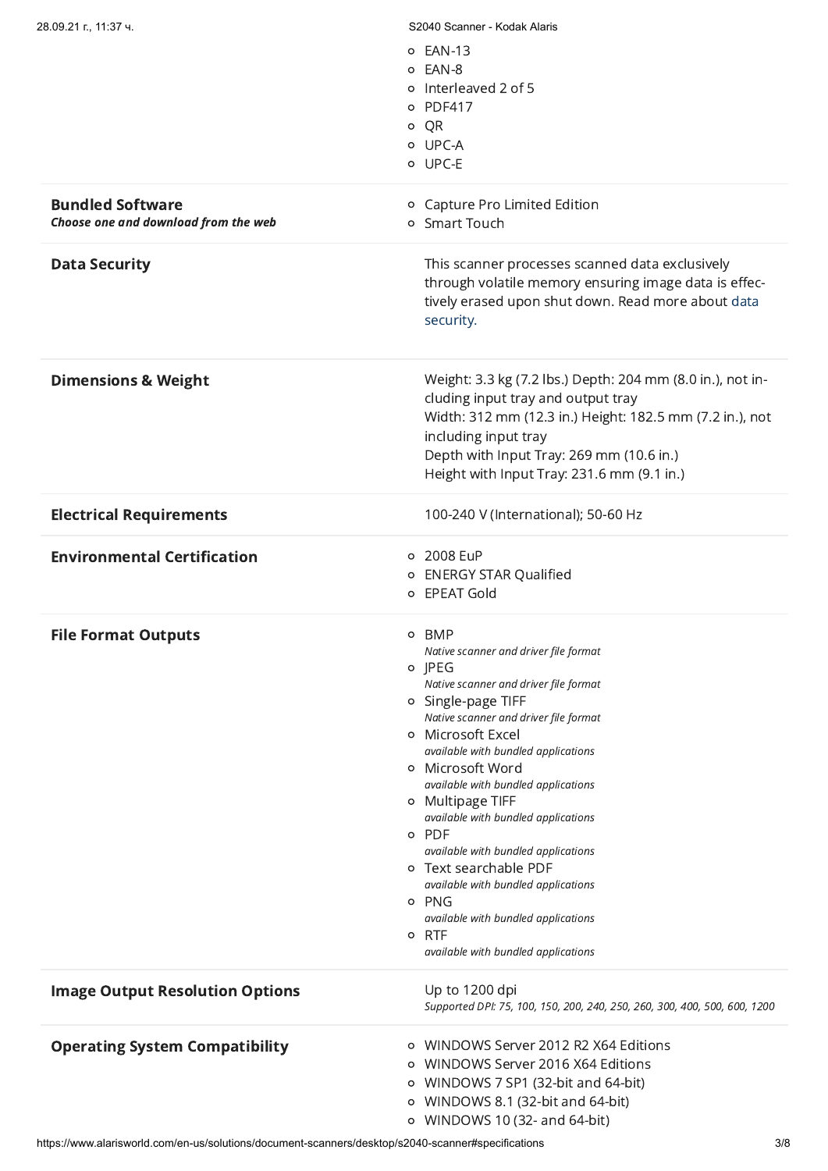| 28.09.21 г., 11:37 ч.                  | S2040 Scanner - Kodak Alaris                                              |
|----------------------------------------|---------------------------------------------------------------------------|
|                                        | o EAN-13                                                                  |
|                                        | o EAN-8                                                                   |
|                                        | o Interleaved 2 of 5                                                      |
|                                        | o PDF417                                                                  |
|                                        | o QR                                                                      |
|                                        | o UPC-A                                                                   |
|                                        | o UPC-E                                                                   |
|                                        |                                                                           |
| <b>Bundled Software</b>                | o Capture Pro Limited Edition                                             |
| Choose one and download from the web   | o Smart Touch                                                             |
| <b>Data Security</b>                   | This scanner processes scanned data exclusively                           |
|                                        | through volatile memory ensuring image data is effec-                     |
|                                        | tively erased upon shut down. Read more about data                        |
|                                        | security.                                                                 |
|                                        |                                                                           |
| <b>Dimensions &amp; Weight</b>         | Weight: 3.3 kg (7.2 lbs.) Depth: 204 mm (8.0 in.), not in-                |
|                                        | cluding input tray and output tray                                        |
|                                        | Width: 312 mm (12.3 in.) Height: 182.5 mm (7.2 in.), not                  |
|                                        | including input tray                                                      |
|                                        | Depth with Input Tray: 269 mm (10.6 in.)                                  |
|                                        | Height with Input Tray: 231.6 mm (9.1 in.)                                |
|                                        |                                                                           |
| <b>Electrical Requirements</b>         | 100-240 V (International); 50-60 Hz                                       |
| <b>Environmental Certification</b>     | o 2008 EuP                                                                |
|                                        | o ENERGY STAR Qualified                                                   |
|                                        | o EPEAT Gold                                                              |
| <b>File Format Outputs</b>             | o BMP                                                                     |
|                                        | Native scanner and driver file format                                     |
|                                        | o JPEG                                                                    |
|                                        | Native scanner and driver file format                                     |
|                                        | o Single-page TIFF                                                        |
|                                        | Native scanner and driver file format                                     |
|                                        | o Microsoft Excel<br>available with bundled applications                  |
|                                        | o Microsoft Word                                                          |
|                                        | available with bundled applications                                       |
|                                        | o Multipage TIFF                                                          |
|                                        | available with bundled applications                                       |
|                                        | o PDF                                                                     |
|                                        | available with bundled applications<br>o Text searchable PDF              |
|                                        | available with bundled applications                                       |
|                                        | o PNG                                                                     |
|                                        | available with bundled applications                                       |
|                                        | o RTF                                                                     |
|                                        | available with bundled applications                                       |
| <b>Image Output Resolution Options</b> | Up to 1200 dpi                                                            |
|                                        | Supported DPI: 75, 100, 150, 200, 240, 250, 260, 300, 400, 500, 600, 1200 |
|                                        | o WINDOWS Server 2012 R2 X64 Editions                                     |
| <b>Operating System Compatibility</b>  | WINDOWS Server 2016 X64 Editions                                          |
|                                        | $\circ$                                                                   |
|                                        | o WINDOWS 7 SP1 (32-bit and 64-bit)                                       |
|                                        | WINDOWS 8.1 (32-bit and 64-bit)<br>$\circ$                                |
|                                        | o WINDOWS 10 (32- and 64-bit)                                             |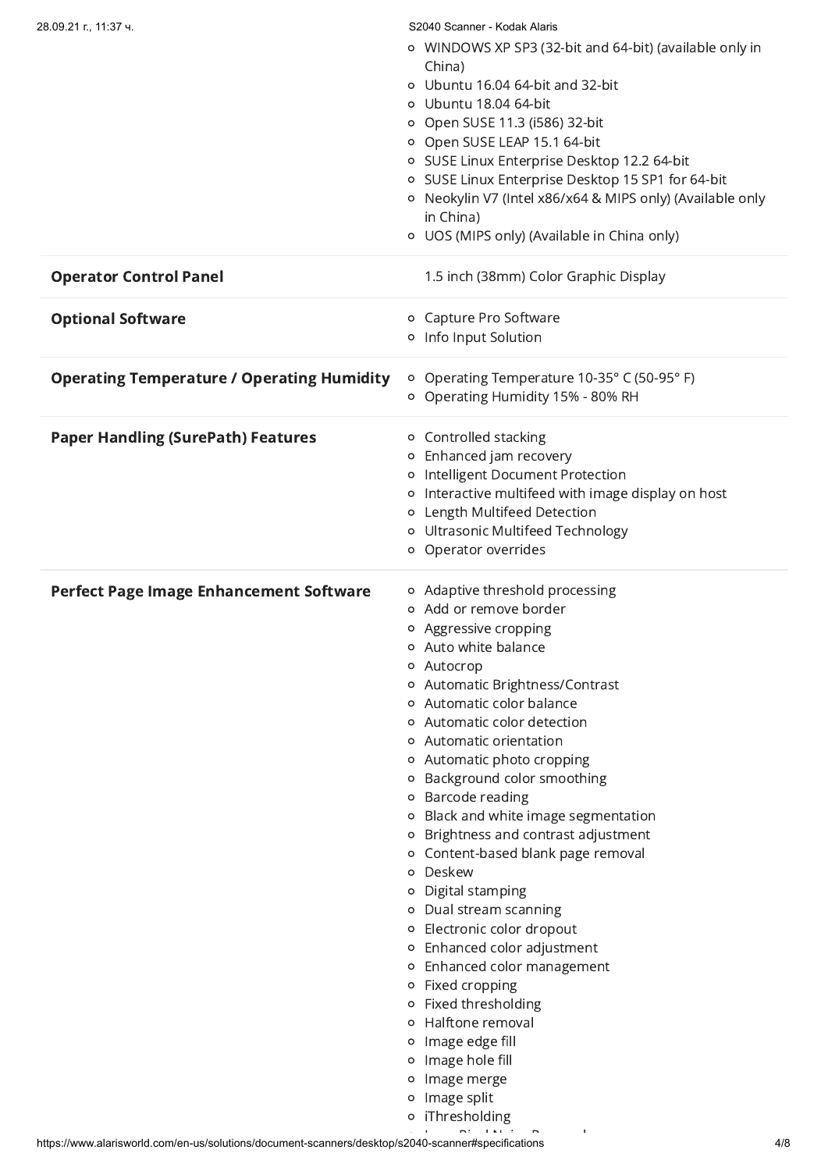| 28.09.21 г., 11:37 ч.                             | S2040 Scanner - Kodak Alaris                              |
|---------------------------------------------------|-----------------------------------------------------------|
|                                                   | ○ WINDOWS XP SP3 (32-bit and 64-bit) (available only in   |
|                                                   | China)                                                    |
|                                                   | o Ubuntu 16.04 64-bit and 32-bit                          |
|                                                   | o Ubuntu 18.04 64-bit                                     |
|                                                   | ○ Open SUSE 11.3 (i586) 32-bit                            |
|                                                   | o Open SUSE LEAP 15.1 64-bit                              |
|                                                   | o SUSE Linux Enterprise Desktop 12.2 64-bit               |
|                                                   |                                                           |
|                                                   | o SUSE Linux Enterprise Desktop 15 SP1 for 64-bit         |
|                                                   | o Neokylin V7 (Intel x86/x64 & MIPS only) (Available only |
|                                                   | in China)                                                 |
|                                                   | ○ UOS (MIPS only) (Available in China only)               |
| <b>Operator Control Panel</b>                     | 1.5 inch (38mm) Color Graphic Display                     |
|                                                   |                                                           |
| <b>Optional Software</b>                          | o Capture Pro Software                                    |
|                                                   | o Info Input Solution                                     |
|                                                   |                                                           |
| <b>Operating Temperature / Operating Humidity</b> | o Operating Temperature 10-35° C (50-95° F)               |
|                                                   | Operating Humidity 15% - 80% RH<br>$\circ$                |
|                                                   |                                                           |
| <b>Paper Handling (SurePath) Features</b>         | o Controlled stacking                                     |
|                                                   | o Enhanced jam recovery                                   |
|                                                   | o Intelligent Document Protection                         |
|                                                   | o Interactive multifeed with image display on host        |
|                                                   | o Length Multifeed Detection                              |
|                                                   | o Ultrasonic Multifeed Technology                         |
|                                                   | o Operator overrides                                      |
|                                                   |                                                           |
| <b>Perfect Page Image Enhancement Software</b>    | o Adaptive threshold processing                           |
|                                                   | o Add or remove border                                    |
|                                                   | o Aggressive cropping                                     |
|                                                   | Auto white balance<br>o                                   |
|                                                   | Autocrop<br>$\circ$                                       |
|                                                   | Automatic Brightness/Contrast<br>o                        |
|                                                   | Automatic color balance<br>o                              |
|                                                   | Automatic color detection<br>$\circ$                      |
|                                                   | Automatic orientation<br>$\circ$                          |
|                                                   | Automatic photo cropping<br>o                             |
|                                                   | Background color smoothing<br>o                           |
|                                                   | Barcode reading<br>$\circ$                                |
|                                                   | Black and white image segmentation<br>o                   |
|                                                   | Brightness and contrast adjustment<br>$\circ$             |
|                                                   | Content-based blank page removal<br>o                     |
|                                                   | Deskew<br>$\circ$                                         |
|                                                   | Digital stamping<br>$\circ$                               |
|                                                   | Dual stream scanning<br>$\circ$                           |
|                                                   | Electronic color dropout<br>o                             |
|                                                   | Enhanced color adjustment<br>$\circ$                      |
|                                                   | Enhanced color management<br>$\circ$                      |
|                                                   | Fixed cropping<br>$\circ$                                 |
|                                                   | Fixed thresholding                                        |
|                                                   | o<br>Halftone removal                                     |
|                                                   |                                                           |
|                                                   | Image edge fill<br>$\circ$                                |
|                                                   | Image hole fill<br>$\circ$                                |
|                                                   | Image merge<br>o                                          |
|                                                   | Image split<br>o                                          |
|                                                   | iThresholding<br>$\circ$                                  |
|                                                   |                                                           |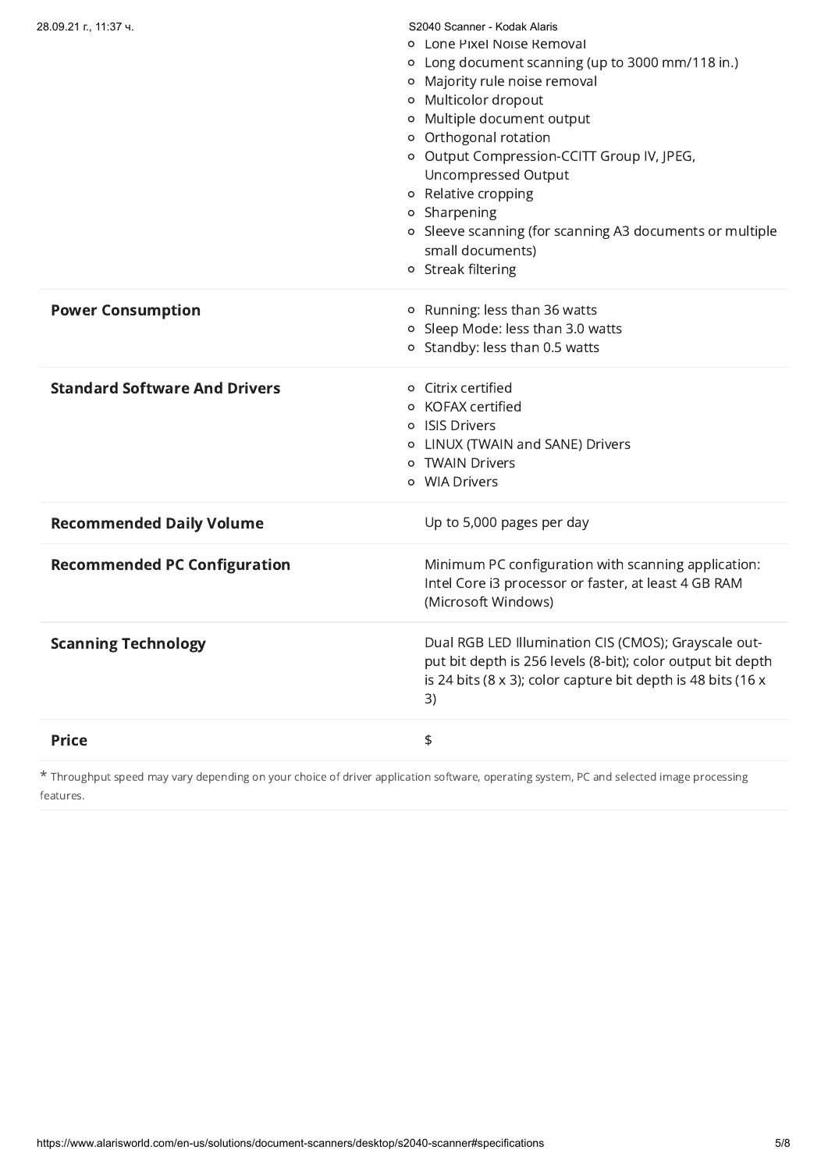| 28.09.21 г., 11:37 ч.                | S2040 Scanner - Kodak Alaris<br>o Lone Pixel Noise Removal<br>o Long document scanning (up to 3000 mm/118 in.)<br>o Majority rule noise removal<br>o Multicolor dropout<br>o Multiple document output<br>o Orthogonal rotation<br>o Output Compression-CCITT Group IV, JPEG,<br>Uncompressed Output<br>o Relative cropping<br>o Sharpening<br>o Sleeve scanning (for scanning A3 documents or multiple<br>small documents)<br>o Streak filtering |
|--------------------------------------|--------------------------------------------------------------------------------------------------------------------------------------------------------------------------------------------------------------------------------------------------------------------------------------------------------------------------------------------------------------------------------------------------------------------------------------------------|
| <b>Power Consumption</b>             | o Running: less than 36 watts<br>o Sleep Mode: less than 3.0 watts<br>o Standby: less than 0.5 watts                                                                                                                                                                                                                                                                                                                                             |
| <b>Standard Software And Drivers</b> | o Citrix certified<br>o KOFAX certified<br>o ISIS Drivers<br>o LINUX (TWAIN and SANE) Drivers<br>o TWAIN Drivers<br>o WIA Drivers                                                                                                                                                                                                                                                                                                                |
| <b>Recommended Daily Volume</b>      | Up to 5,000 pages per day                                                                                                                                                                                                                                                                                                                                                                                                                        |
| <b>Recommended PC Configuration</b>  | Minimum PC configuration with scanning application:<br>Intel Core i3 processor or faster, at least 4 GB RAM<br>(Microsoft Windows)                                                                                                                                                                                                                                                                                                               |
| <b>Scanning Technology</b>           | Dual RGB LED Illumination CIS (CMOS); Grayscale out-<br>put bit depth is 256 levels (8-bit); color output bit depth<br>is 24 bits (8 x 3); color capture bit depth is 48 bits (16 x<br>3)                                                                                                                                                                                                                                                        |
| <b>Price</b>                         | $\, \, \updownarrow$                                                                                                                                                                                                                                                                                                                                                                                                                             |

\* Throughput speed may vary depending on your choice of driver application software, operating system, PC and selected image processing features.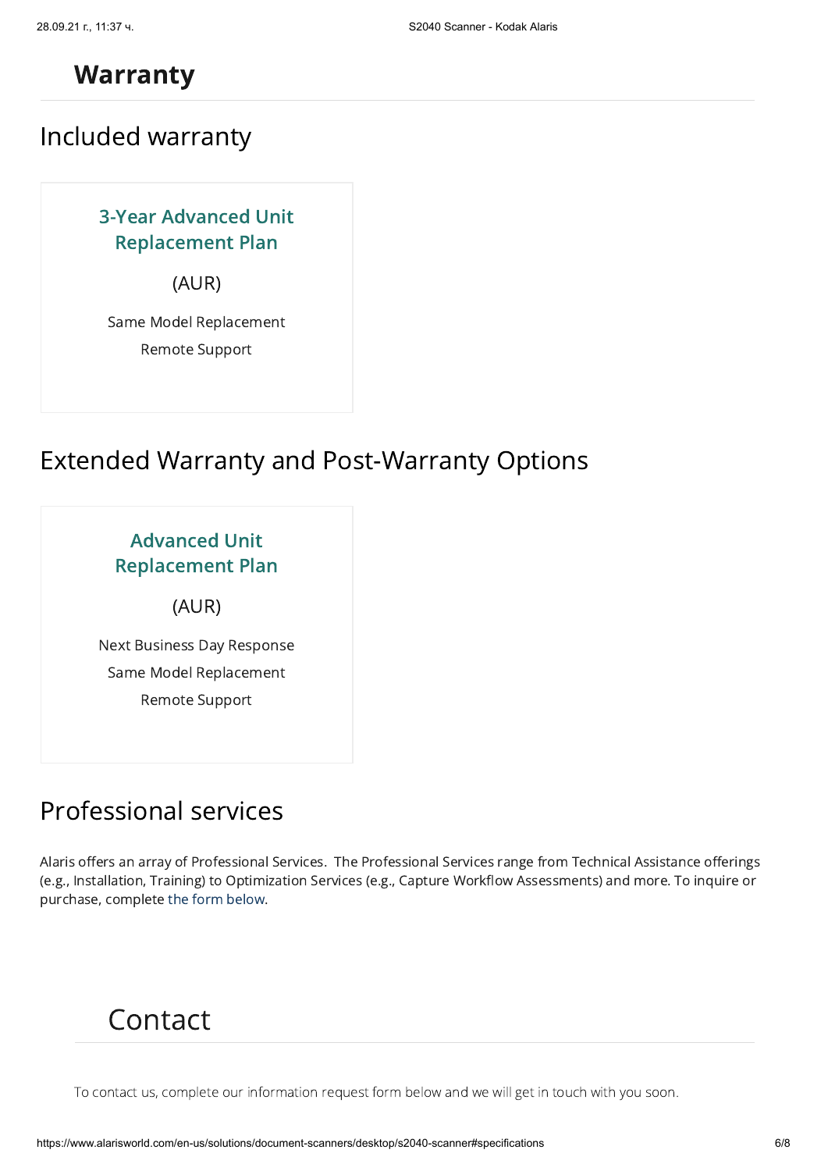#### **Warranty**

Included warranty

3-Year Advanced Unit Replacement Plan

(AUR)

Same Model Replacement Remote Support

### Extended Warranty and Post-Warranty Options

| <b>Advanced Unit</b><br><b>Replacement Plan</b> |  |
|-------------------------------------------------|--|
| (AUR)                                           |  |
| Next Business Day Response                      |  |
| Same Model Replacement                          |  |
| Remote Support                                  |  |
|                                                 |  |

### Professional services

Alaris offers an array of Professional Services. The Professional Services range from Technical Assistance offerings (e.g., Installation, Training) to Optimization Services (e.g., Capture Workflow Assessments) and more. To inquire or purchase, complete the form below.

## Contact

To contact us, complete our information request form below and we will get in touch with you soon.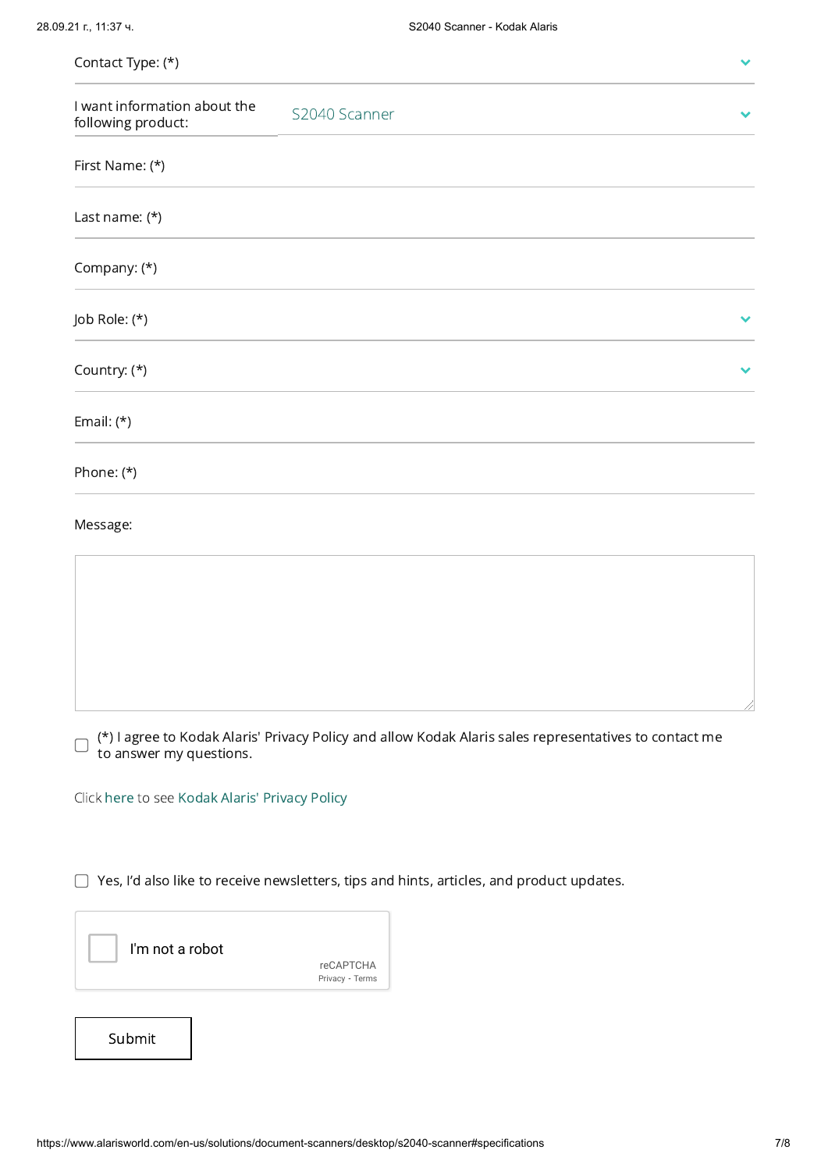| Contact Type: (*)                                  |                                                                                                        |  |
|----------------------------------------------------|--------------------------------------------------------------------------------------------------------|--|
| I want information about the<br>following product: | S2040 Scanner                                                                                          |  |
| First Name: (*)                                    |                                                                                                        |  |
| Last name: (*)                                     |                                                                                                        |  |
| Company: (*)                                       |                                                                                                        |  |
| Job Role: (*)                                      |                                                                                                        |  |
| Country: (*)                                       |                                                                                                        |  |
| Email: $(*)$                                       |                                                                                                        |  |
| Phone: (*)                                         |                                                                                                        |  |
| Message:                                           |                                                                                                        |  |
|                                                    |                                                                                                        |  |
|                                                    |                                                                                                        |  |
|                                                    |                                                                                                        |  |
|                                                    |                                                                                                        |  |
| to answer my questions.                            | (*) I agree to Kodak Alaris' Privacy Policy and allow Kodak Alaris sales representatives to contact me |  |
| Click here to see Kodak Alaris' Privacy Policy     |                                                                                                        |  |
|                                                    |                                                                                                        |  |
|                                                    | Yes, I'd also like to receive newsletters, tips and hints, articles, and product updates.              |  |
| I'm not a robot                                    | <b>reCAPTCHA</b><br>Privacy - Terms                                                                    |  |
|                                                    |                                                                                                        |  |
| Submit                                             |                                                                                                        |  |